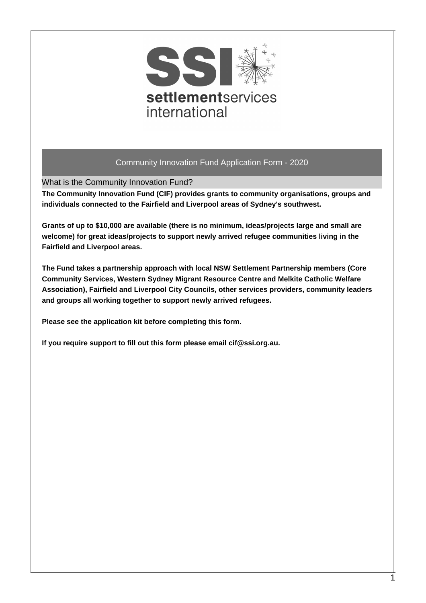

What is the Community Innovation Fund?

**The Community Innovation Fund (CIF) provides grants to community organisations, groups and individuals connected to the Fairfield and Liverpool areas of Sydney's southwest.**

**Grants of up to \$10,000 are available (there is no minimum, ideas/projects large and small are welcome) for great ideas/projects to support newly arrived refugee communities living in the Fairfield and Liverpool areas.**

**The Fund takes a partnership approach with local NSW Settlement Partnership members (Core Community Services, Western Sydney Migrant Resource Centre and Melkite Catholic Welfare Association), Fairfield and Liverpool City Councils, other services providers, community leaders and groups all working together to support newly arrived refugees.**

**Please see the application kit before completing this form.**

**If you require support to fill out this form please email cif@ssi.org.au.**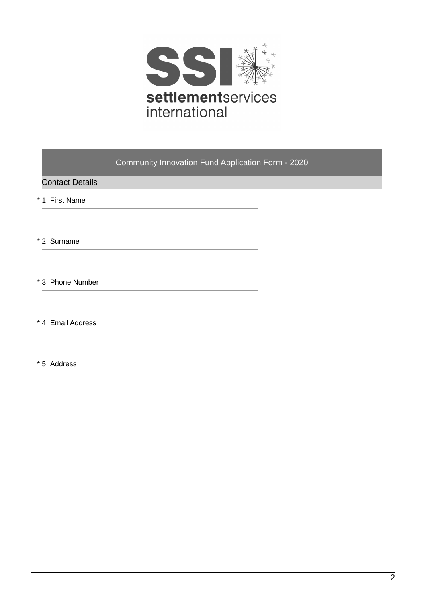

## Contact Details

## \* 1. First Name

### \* 2. Surname

#### \* 3. Phone Number

#### \* 4. Email Address

### \* 5. Address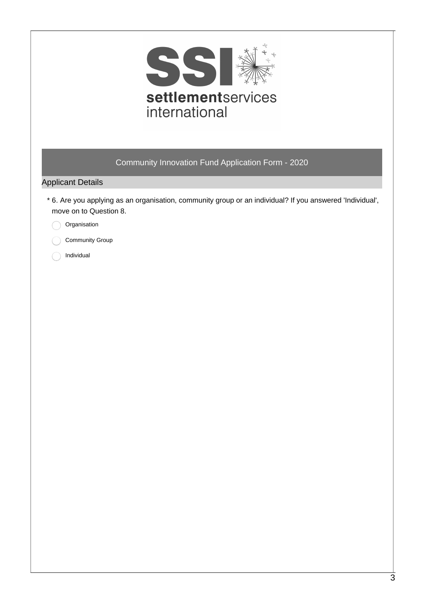

# Applicant Details

- 6. Are you applying as an organisation, community group or an individual? If you answered 'Individual', \* move on to Question 8.
	- Organisation
		- Community Group
- Individual  $\subset$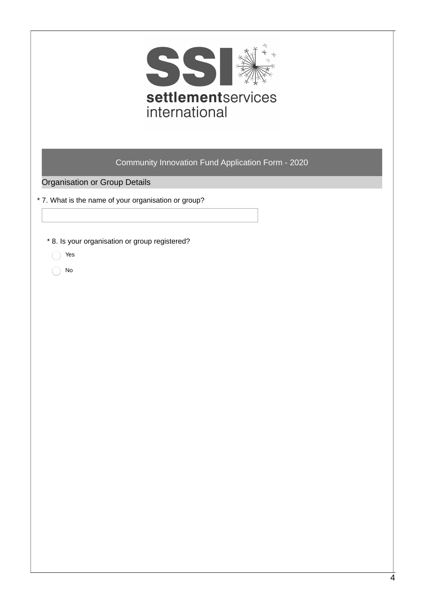

Organisation or Group Details

\* 7. What is the name of your organisation or group?

\* 8. Is your organisation or group registered?

Yes

No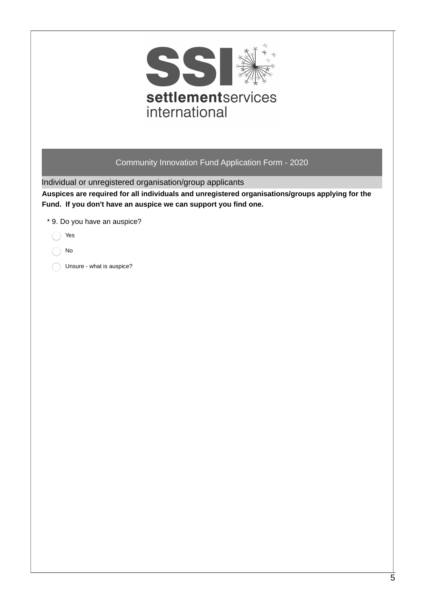

Individual or unregistered organisation/group applicants

**Auspices are required for all individuals and unregistered organisations/groups applying for the Fund. If you don't have an auspice we can support you find one.**

\* 9. Do you have an auspice?

Yes  $\bigcap$ 

No

Unsure - what is auspice?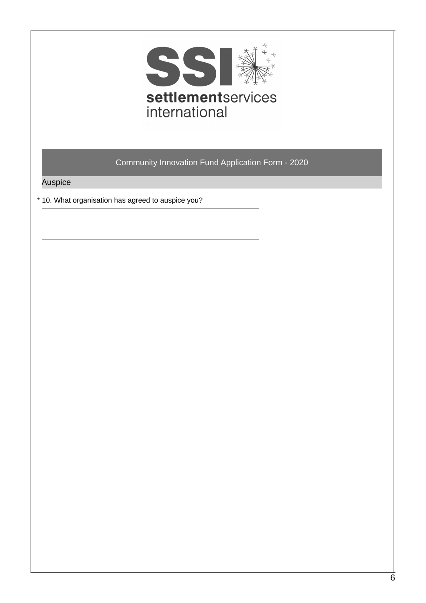

Auspice

\* 10. What organisation has agreed to auspice you?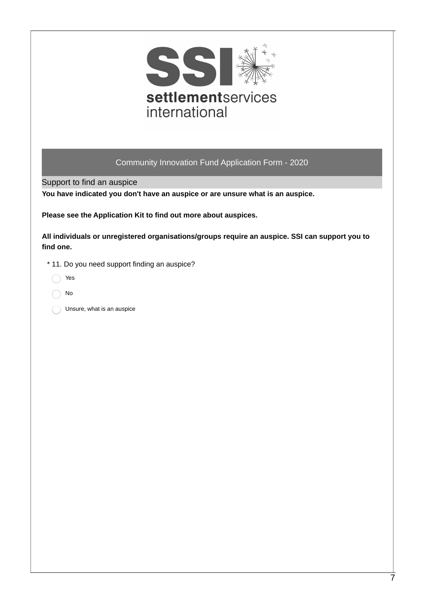

Support to find an auspice

**You have indicated you don't have an auspice or are unsure what is an auspice.**

**Please see the Application Kit to find out more about auspices.**

**All individuals or unregistered organisations/groups require an auspice. SSI can support you to find one.**

- \* 11. Do you need support finding an auspice?
	- Yes
	- No
	- Unsure, what is an auspice C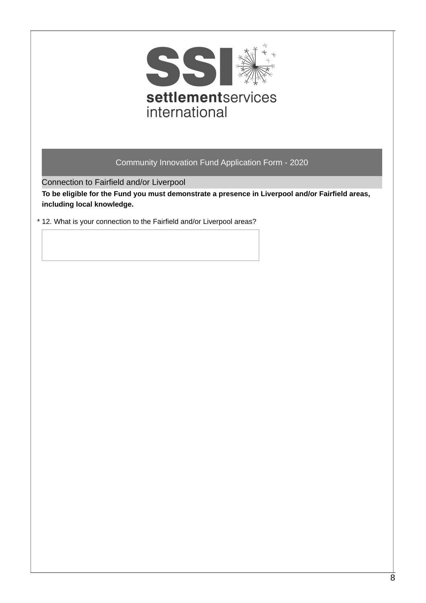

Connection to Fairfield and/or Liverpool

**To be eligible for the Fund you must demonstrate a presence in Liverpool and/or Fairfield areas, including local knowledge.**

\* 12. What is your connection to the Fairfield and/or Liverpool areas?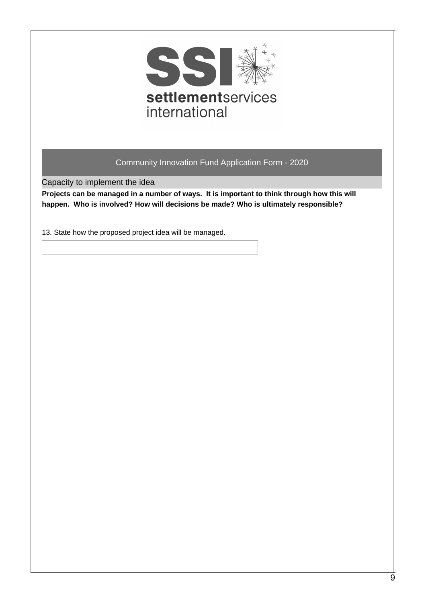

Capacity to implement the idea

**Projects can be managed in a number of ways. It is important to think through how this will happen. Who is involved? How will decisions be made? Who is ultimately responsible?**

13. State how the proposed project idea will be managed.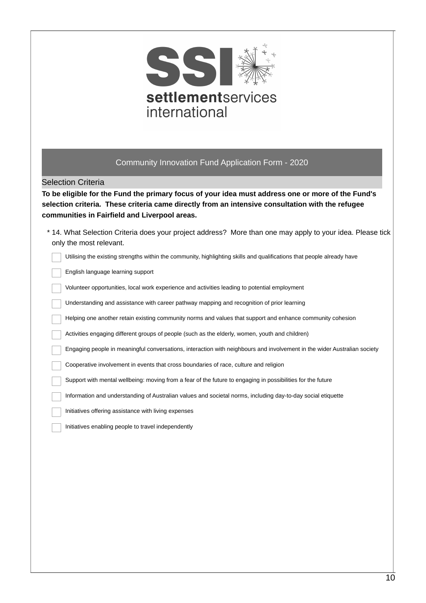

|  | Community Innovation Fund Application Form - 2020 |  |
|--|---------------------------------------------------|--|
|--|---------------------------------------------------|--|

Selection Criteria

To be eligible for the Fund the primary focus of your idea must address one or more of the Fund's **selection criteria. These criteria came directly from an intensive consultation with the refugee communities in Fairfield and Liverpool areas.**

| * 14. What Selection Criteria does your project address? More than one may apply to your idea. Please tick               |  |  |  |  |
|--------------------------------------------------------------------------------------------------------------------------|--|--|--|--|
| only the most relevant.                                                                                                  |  |  |  |  |
| Utilising the existing strengths within the community, highlighting skills and qualifications that people already have   |  |  |  |  |
| English language learning support                                                                                        |  |  |  |  |
| Volunteer opportunities, local work experience and activities leading to potential employment                            |  |  |  |  |
| Understanding and assistance with career pathway mapping and recognition of prior learning                               |  |  |  |  |
| Helping one another retain existing community norms and values that support and enhance community cohesion               |  |  |  |  |
| Activities engaging different groups of people (such as the elderly, women, youth and children)                          |  |  |  |  |
| Engaging people in meaningful conversations, interaction with neighbours and involvement in the wider Australian society |  |  |  |  |
| Cooperative involvement in events that cross boundaries of race, culture and religion                                    |  |  |  |  |
| Support with mental wellbeing: moving from a fear of the future to engaging in possibilities for the future              |  |  |  |  |
| Information and understanding of Australian values and societal norms, including day-to-day social etiquette             |  |  |  |  |
| Initiatives offering assistance with living expenses                                                                     |  |  |  |  |
| Initiatives enabling people to travel independently                                                                      |  |  |  |  |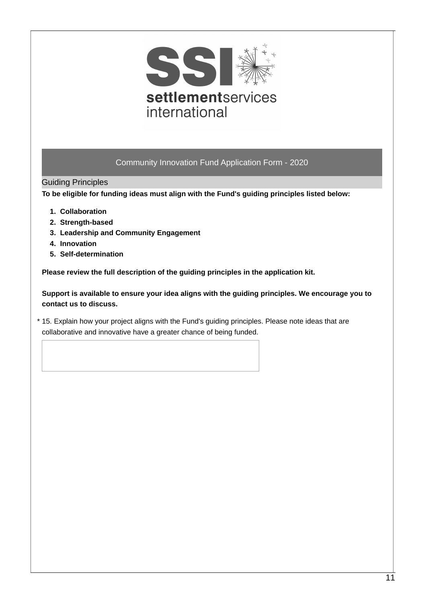

Guiding Principles

**To be eligible for funding ideas must align with the Fund's guiding principles listed below:**

- **1. Collaboration**
- **2. Strength-based**
- **3. Leadership and Community Engagement**
- **4. Innovation**
- **5. Self-determination**

**Please review the full description of the guiding principles in the application kit.**

**Support is available to ensure your idea aligns with the guiding principles. We encourage you to contact us to discuss.**

15. Explain how your project aligns with the Fund's guiding principles. Please note ideas that are \* collaborative and innovative have a greater chance of being funded.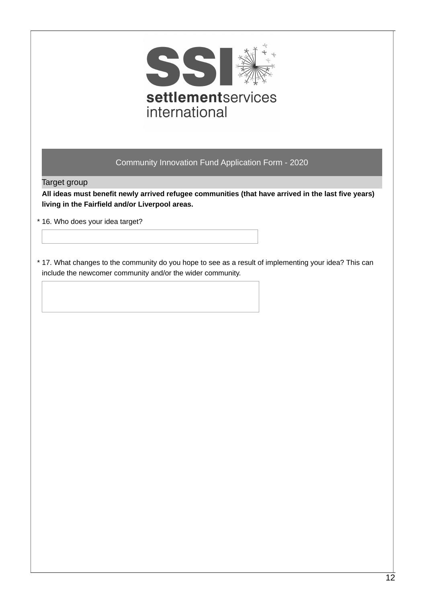

Target group

**All ideas must benefit newly arrived refugee communities (that have arrived in the last five years) living in the Fairfield and/or Liverpool areas.**

- \* 16. Who does your idea target?
- 17. What changes to the community do you hope to see as a result of implementing your idea? This can \* include the newcomer community and/or the wider community.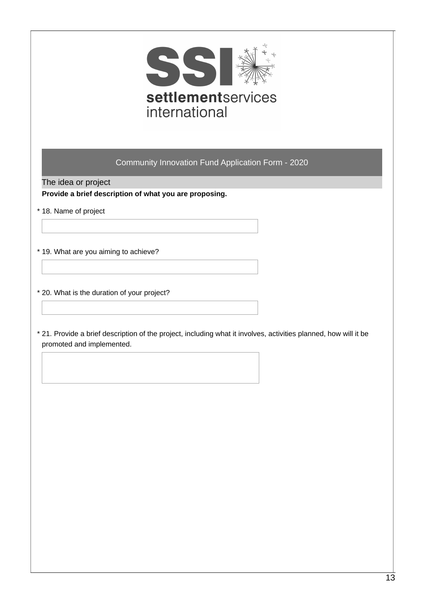

The idea or project

**Provide a brief description of what you are proposing.**

- \* 18. Name of project
- \* 19. What are you aiming to achieve?
- \* 20. What is the duration of your project?
- 21. Provide a brief description of the project, including what it involves, activities planned, how will it be \* promoted and implemented.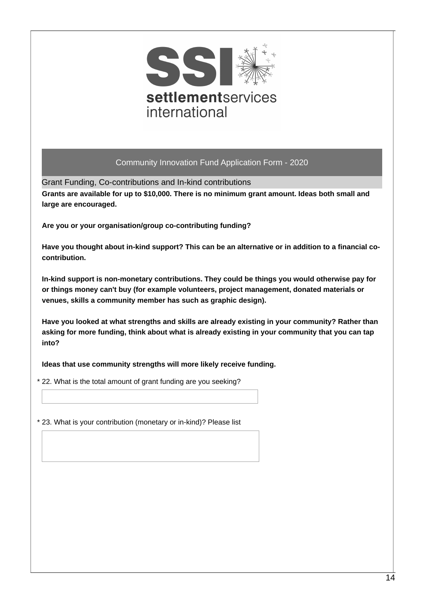

Grant Funding, Co-contributions and In-kind contributions

**Grants are available for up to \$10,000. There is no minimum grant amount. Ideas both small and large are encouraged.**

**Are you or your organisation/group co-contributing funding?**

Have you thought about in-kind support? This can be an alternative or in addition to a financial co**contribution.**

**In-kind support is non-monetary contributions. They could be things you would otherwise pay for or things money can't buy (for example volunteers, project management, donated materials or venues, skills a community member has such as graphic design).**

**Have you looked at what strengths and skills are already existing in your community? Rather than asking for more funding, think about what is already existing in your community that you can tap into?**

**Ideas that use community strengths will more likely receive funding.**

\* 22. What is the total amount of grant funding are you seeking?

\* 23. What is your contribution (monetary or in-kind)? Please list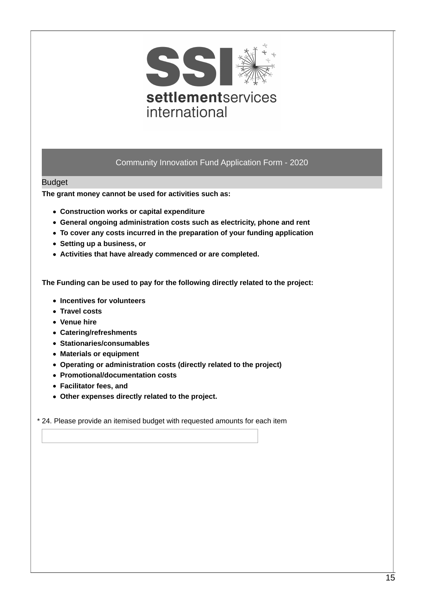

### Budget

**The grant money cannot be used for activities such as:**

- **Construction works or capital expenditure**
- **General ongoing administration costs such as electricity, phone and rent**
- **To cover any costs incurred in the preparation of your funding application**
- **Setting up a business, or**
- **Activities that have already commenced or are completed.**

**The Funding can be used to pay for the following directly related to the project:**

- **Incentives for volunteers**
- **Travel costs**
- **Venue hire**
- **Catering/refreshments**
- **Stationaries/consumables**
- **Materials or equipment**
- **Operating or administration costs (directly related to the project)**
- **Promotional/documentation costs**
- **Facilitator fees, and**
- **Other expenses directly related to the project.**

\* 24. Please provide an itemised budget with requested amounts for each item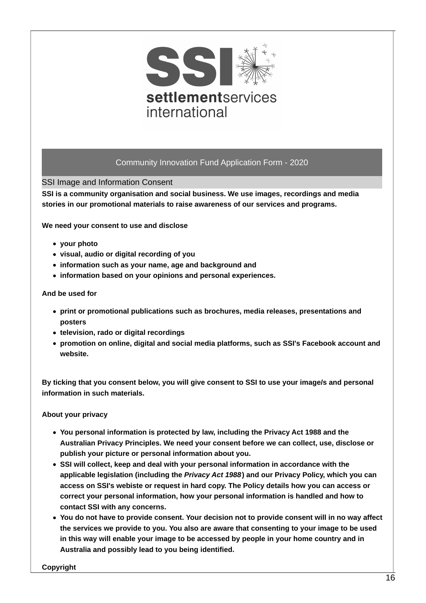

SSI Image and Information Consent

**SSI is a community organisation and social business. We use images, recordings and media stories in our promotional materials to raise awareness of our services and programs.**

**We need your consent to use and disclose**

- **your photo**
- **visual, audio or digital recording of you**
- **information such as your name, age and background and**
- **information based on your opinions and personal experiences.**

#### **And be used for**

- **print or promotional publications such as brochures, media releases, presentations and posters**
- **television, rado or digital recordings**
- **promotion on online, digital and social media platforms, such as SSI's Facebook account and website.**

**By ticking that you consent below, you will give consent to SSI to use your image/s and personal information in such materials.**

**About your privacy**

- **You personal information is protected by law, including the Privacy Act 1988 and the Australian Privacy Principles. We need your consent before we can collect, use, disclose or publish your picture or personal information about you.**
- **SSI will collect, keep and deal with your personal information in accordance with the applicable legislation (including the** *Privacy Act 1988***) and our Privacy Policy, which you can access on SSI's webiste or request in hard copy. The Policy details how you can access or correct your personal information, how your personal information is handled and how to contact SSI with any concerns.**
- **You do not have to provide consent. Your decision not to provide consent will in no way affect the services we provide to you. You also are aware that consenting to your image to be used in this way will enable your image to be accessed by people in your home country and in Australia and possibly lead to you being identified.**

**Copyright**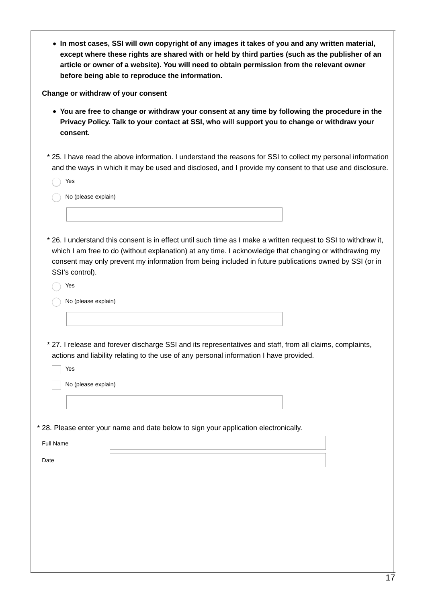| • In most cases, SSI will own copyright of any images it takes of you and any written material, |  |  |
|-------------------------------------------------------------------------------------------------|--|--|
| except where these rights are shared with or held by third parties (such as the publisher of an |  |  |
| article or owner of a website). You will need to obtain permission from the relevant owner      |  |  |
| before being able to reproduce the information.                                                 |  |  |

**Change or withdraw of your consent**

- **You are free to change or withdraw your consent at any time by following the procedure in the Privacy Policy. Talk to your contact at SSI, who will support you to change or withdraw your consent.**
- 25. I have read the above information. I understand the reasons for SSI to collect my personal information \* and the ways in which it may be used and disclosed, and I provide my consent to that use and disclosure.

| Yes                 |  |  |  |  |
|---------------------|--|--|--|--|
| No (please explain) |  |  |  |  |
|                     |  |  |  |  |
|                     |  |  |  |  |

26. I understand this consent is in effect until such time as I make a written request to SSI to withdraw it, \* which I am free to do (without explanation) at any time. I acknowledge that changing or withdrawing my consent may only prevent my information from being included in future publications owned by SSI (or in SSI's control).

| Yes                 |                                                                                                           |
|---------------------|-----------------------------------------------------------------------------------------------------------|
| No (please explain) |                                                                                                           |
|                     |                                                                                                           |
|                     |                                                                                                           |
|                     | * 27. I release and forever discharge SSI and its representatives and staff, from all claims, complaints, |
|                     | actions and liability relating to the use of any personal information I have provided.                    |
| Yes                 |                                                                                                           |
| No (please explain) |                                                                                                           |
|                     |                                                                                                           |
|                     |                                                                                                           |
|                     | * 28. Please enter your name and date below to sign your application electronically.                      |
| Full Name           |                                                                                                           |
| Date                |                                                                                                           |
|                     |                                                                                                           |
|                     |                                                                                                           |
|                     |                                                                                                           |
|                     |                                                                                                           |
|                     |                                                                                                           |
|                     |                                                                                                           |
|                     |                                                                                                           |
|                     |                                                                                                           |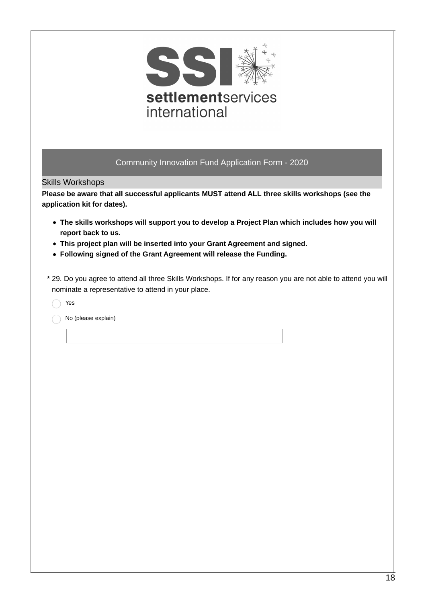

Skills Workshops

**Please be aware that all successful applicants MUST attend ALL three skills workshops (see the application kit for dates).**

- **The skills workshops will support you to develop a Project Plan which includes how you will report back to us.**
- **This project plan will be inserted into your Grant Agreement and signed.**
- **Following signed of the Grant Agreement will release the Funding.**
- 29. Do you agree to attend all three Skills Workshops. If for any reason you are not able to attend you will \* nominate a representative to attend in your place.
	- ◯ Yes

No (please explain)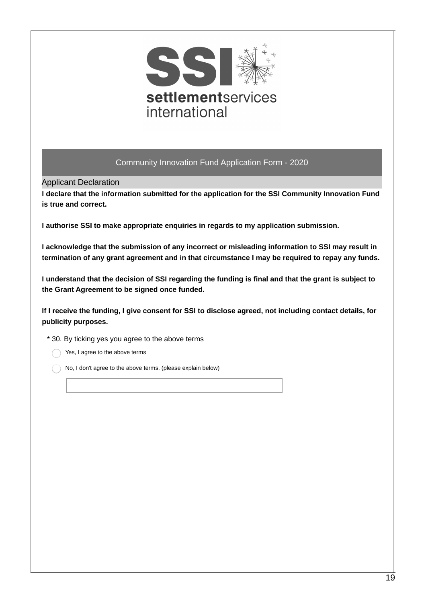

Applicant Declaration

**I declare that the information submitted for the application for the SSI Community Innovation Fund is true and correct.**

**I authorise SSI to make appropriate enquiries in regards to my application submission.**

**I acknowledge that the submission of any incorrect or misleading information to SSI may result in termination of any grant agreement and in that circumstance I may be required to repay any funds.**

I understand that the decision of SSI regarding the funding is final and that the grant is subject to **the Grant Agreement to be signed once funded.**

If I receive the funding, I give consent for SSI to disclose agreed, not including contact details, for **publicity purposes.**

\* 30. By ticking yes you agree to the above terms

Yes, I agree to the above terms

No, I don't agree to the above terms. (please explain below)